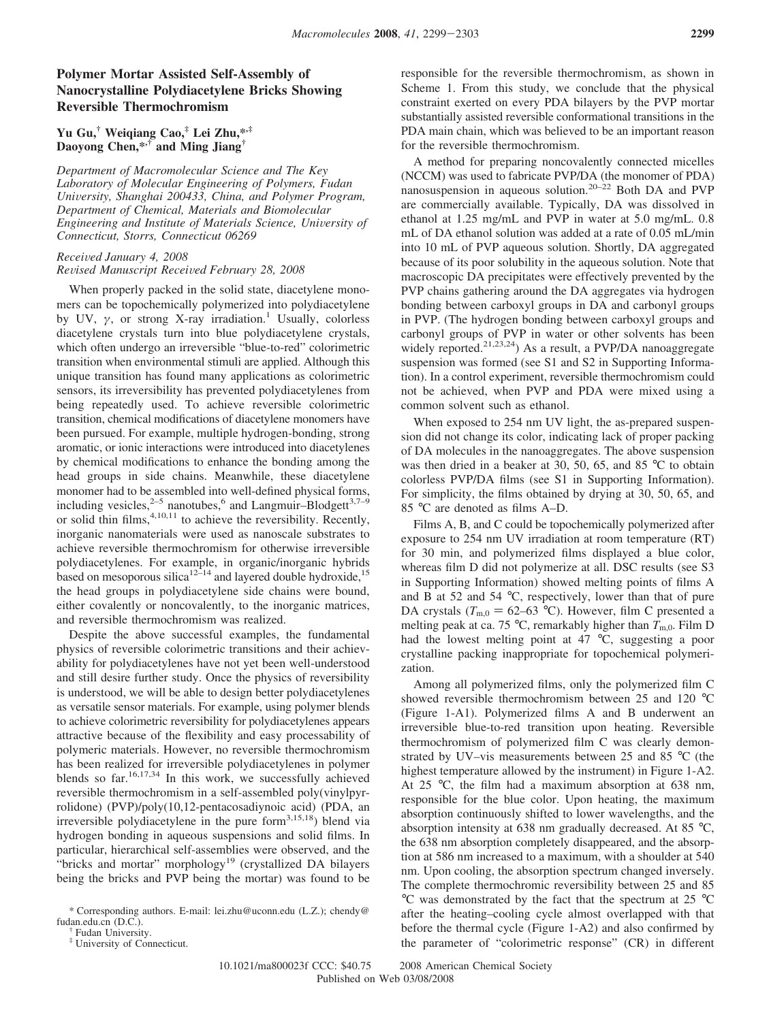## **Polymer Mortar Assisted Self-Assembly of Nanocrystalline Polydiacetylene Bricks Showing Reversible Thermochromism**

## **Yu Gu,† Weiqiang Cao,‡ Lei Zhu,\*,‡ Daoyong Chen,\*,† and Ming Jiang†**

*Department of Macromolecular Science and The Key Laboratory of Molecular Engineering of Polymers, Fudan University, Shanghai 200433, China, and Polymer Program, Department of Chemical, Materials and Biomolecular Engineering and Institute of Materials Science, University of Connecticut, Storrs, Connecticut 06269*

## *Recei*V*ed January 4, 2008 Re*V*ised Manuscript Recei*V*ed February 28, 2008*

When properly packed in the solid state, diacetylene monomers can be topochemically polymerized into polydiacetylene by UV, *γ*, or strong X-ray irradiation.<sup>1</sup> Usually, colorless diacetylene crystals turn into blue polydiacetylene crystals, which often undergo an irreversible "blue-to-red" colorimetric transition when environmental stimuli are applied. Although this unique transition has found many applications as colorimetric sensors, its irreversibility has prevented polydiacetylenes from being repeatedly used. To achieve reversible colorimetric transition, chemical modifications of diacetylene monomers have been pursued. For example, multiple hydrogen-bonding, strong aromatic, or ionic interactions were introduced into diacetylenes by chemical modifications to enhance the bonding among the head groups in side chains. Meanwhile, these diacetylene monomer had to be assembled into well-defined physical forms, including vesicles,<sup>2–5</sup> nanotubes,<sup>6</sup> and Langmuir–Blodgett<sup>3,7–9</sup> or solid thin films,  $4,10,11$  to achieve the reversibility. Recently, inorganic nanomaterials were used as nanoscale substrates to achieve reversible thermochromism for otherwise irreversible polydiacetylenes. For example, in organic/inorganic hybrids based on mesoporous silica<sup>12–14</sup> and layered double hydroxide,<sup>15</sup> the head groups in polydiacetylene side chains were bound, either covalently or noncovalently, to the inorganic matrices, and reversible thermochromism was realized.

Despite the above successful examples, the fundamental physics of reversible colorimetric transitions and their achievability for polydiacetylenes have not yet been well-understood and still desire further study. Once the physics of reversibility is understood, we will be able to design better polydiacetylenes as versatile sensor materials. For example, using polymer blends to achieve colorimetric reversibility for polydiacetylenes appears attractive because of the flexibility and easy processability of polymeric materials. However, no reversible thermochromism has been realized for irreversible polydiacetylenes in polymer blends so far.<sup>16,17,34</sup> In this work, we successfully achieved reversible thermochromism in a self-assembled poly(vinylpyrrolidone) (PVP)/poly(10,12-pentacosadiynoic acid) (PDA, an irreversible polydiacetylene in the pure form $3,15,18$ ) blend via hydrogen bonding in aqueous suspensions and solid films. In particular, hierarchical self-assemblies were observed, and the "bricks and mortar" morphology<sup>19</sup> (crystallized DA bilayers being the bricks and PVP being the mortar) was found to be

 $\dagger$  Fudan University.<br> $\dagger$  University of Connecticut.

responsible for the reversible thermochromism, as shown in Scheme 1. From this study, we conclude that the physical constraint exerted on every PDA bilayers by the PVP mortar substantially assisted reversible conformational transitions in the PDA main chain, which was believed to be an important reason for the reversible thermochromism.

A method for preparing noncovalently connected micelles (NCCM) was used to fabricate PVP/DA (the monomer of PDA) nanosuspension in aqueous solution.20–22 Both DA and PVP are commercially available. Typically, DA was dissolved in ethanol at 1.25 mg/mL and PVP in water at 5.0 mg/mL. 0.8 mL of DA ethanol solution was added at a rate of 0.05 mL/min into 10 mL of PVP aqueous solution. Shortly, DA aggregated because of its poor solubility in the aqueous solution. Note that macroscopic DA precipitates were effectively prevented by the PVP chains gathering around the DA aggregates via hydrogen bonding between carboxyl groups in DA and carbonyl groups in PVP. (The hydrogen bonding between carboxyl groups and carbonyl groups of PVP in water or other solvents has been widely reported.<sup>21,23,24</sup>) As a result, a PVP/DA nanoaggregate suspension was formed (see S1 and S2 in Supporting Information). In a control experiment, reversible thermochromism could not be achieved, when PVP and PDA were mixed using a common solvent such as ethanol.

When exposed to 254 nm UV light, the as-prepared suspension did not change its color, indicating lack of proper packing of DA molecules in the nanoaggregates. The above suspension was then dried in a beaker at 30, 50, 65, and 85 °C to obtain colorless PVP/DA films (see S1 in Supporting Information). For simplicity, the films obtained by drying at 30, 50, 65, and 85 °C are denoted as films A–D.

Films A, B, and C could be topochemically polymerized after exposure to 254 nm UV irradiation at room temperature (RT) for 30 min, and polymerized films displayed a blue color, whereas film D did not polymerize at all. DSC results (see S3 in Supporting Information) showed melting points of films A and B at 52 and 54 °C, respectively, lower than that of pure DA crystals ( $T_{\text{m},0} = 62{\text -}63$  °C). However, film C presented a melting peak at ca. 75 °C, remarkably higher than  $T_{\text{m},0}$ . Film D had the lowest melting point at 47 °C, suggesting a poor crystalline packing inappropriate for topochemical polymerization.

Among all polymerized films, only the polymerized film C showed reversible thermochromism between 25 and 120 °C (Figure 1-A1). Polymerized films A and B underwent an irreversible blue-to-red transition upon heating. Reversible thermochromism of polymerized film C was clearly demonstrated by UV–vis measurements between 25 and 85 °C (the highest temperature allowed by the instrument) in Figure 1-A2. At 25 °C, the film had a maximum absorption at 638 nm, responsible for the blue color. Upon heating, the maximum absorption continuously shifted to lower wavelengths, and the absorption intensity at 638 nm gradually decreased. At 85 °C, the 638 nm absorption completely disappeared, and the absorption at 586 nm increased to a maximum, with a shoulder at 540 nm. Upon cooling, the absorption spectrum changed inversely. The complete thermochromic reversibility between 25 and 85 °C was demonstrated by the fact that the spectrum at 25 °C after the heating–cooling cycle almost overlapped with that before the thermal cycle (Figure 1-A2) and also confirmed by the parameter of "colorimetric response" (CR) in different

<sup>\*</sup> Corresponding authors. E-mail: lei.zhu@uconn.edu (L.Z.); chendy@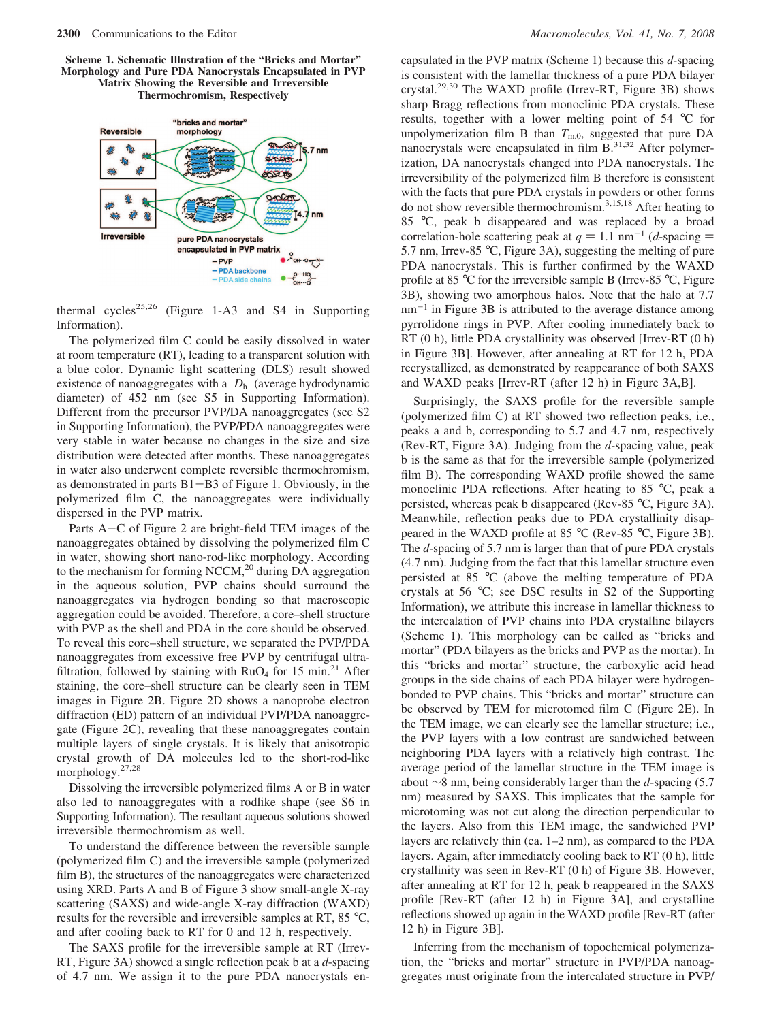**Scheme 1. Schematic Illustration of the "Bricks and Mortar" Morphology and Pure PDA Nanocrystals Encapsulated in PVP Matrix Showing the Reversible and Irreversible Thermochromism, Respectively**



thermal cycles<sup>25,26</sup> (Figure 1-A3 and S4 in Supporting Information).

The polymerized film C could be easily dissolved in water at room temperature (RT), leading to a transparent solution with a blue color. Dynamic light scattering (DLS) result showed existence of nanoaggregates with a 〈*D*h〉 (average hydrodynamic diameter) of 452 nm (see S5 in Supporting Information). Different from the precursor PVP/DA nanoaggregates (see S2 in Supporting Information), the PVP/PDA nanoaggregates were very stable in water because no changes in the size and size distribution were detected after months. These nanoaggregates in water also underwent complete reversible thermochromism, as demonstrated in parts B1-B3 of Figure 1. Obviously, in the polymerized film C, the nanoaggregates were individually dispersed in the PVP matrix.

Parts A-C of Figure 2 are bright-field TEM images of the nanoaggregates obtained by dissolving the polymerized film C in water, showing short nano-rod-like morphology. According to the mechanism for forming NCCM,<sup>20</sup> during DA aggregation in the aqueous solution, PVP chains should surround the nanoaggregates via hydrogen bonding so that macroscopic aggregation could be avoided. Therefore, a core–shell structure with PVP as the shell and PDA in the core should be observed. To reveal this core–shell structure, we separated the PVP/PDA nanoaggregates from excessive free PVP by centrifugal ultrafiltration, followed by staining with  $RuO<sub>4</sub>$  for 15 min.<sup>21</sup> After staining, the core–shell structure can be clearly seen in TEM images in Figure 2B. Figure 2D shows a nanoprobe electron diffraction (ED) pattern of an individual PVP/PDA nanoaggregate (Figure 2C), revealing that these nanoaggregates contain multiple layers of single crystals. It is likely that anisotropic crystal growth of DA molecules led to the short-rod-like morphology.27,28

Dissolving the irreversible polymerized films A or B in water also led to nanoaggregates with a rodlike shape (see S6 in Supporting Information). The resultant aqueous solutions showed irreversible thermochromism as well.

To understand the difference between the reversible sample (polymerized film C) and the irreversible sample (polymerized film B), the structures of the nanoaggregates were characterized using XRD. Parts A and B of Figure 3 show small-angle X-ray scattering (SAXS) and wide-angle X-ray diffraction (WAXD) results for the reversible and irreversible samples at RT, 85 °C, and after cooling back to RT for 0 and 12 h, respectively.

The SAXS profile for the irreversible sample at RT (Irrev-RT, Figure 3A) showed a single reflection peak b at a *d*-spacing of 4.7 nm. We assign it to the pure PDA nanocrystals encapsulated in the PVP matrix (Scheme 1) because this *d*-spacing is consistent with the lamellar thickness of a pure PDA bilayer crystal.29,30 The WAXD profile (Irrev-RT, Figure 3B) shows sharp Bragg reflections from monoclinic PDA crystals. These results, together with a lower melting point of 54 °C for unpolymerization film B than *T*m,0, suggested that pure DA nanocrystals were encapsulated in film B.<sup>31,32</sup> After polymerization, DA nanocrystals changed into PDA nanocrystals. The irreversibility of the polymerized film B therefore is consistent with the facts that pure PDA crystals in powders or other forms do not show reversible thermochromism.3,15,18 After heating to 85 °C, peak b disappeared and was replaced by a broad correlation-hole scattering peak at  $q = 1.1$  nm<sup>-1</sup> (*d*-spacing = 5.7 nm, Irrev-85 °C, Figure 3A), suggesting the melting of pure PDA nanocrystals. This is further confirmed by the WAXD profile at 85 °C for the irreversible sample B (Irrev-85 °C, Figure 3B), showing two amorphous halos. Note that the halo at 7.7  $nm^{-1}$  in Figure 3B is attributed to the average distance among pyrrolidone rings in PVP. After cooling immediately back to RT (0 h), little PDA crystallinity was observed [Irrev-RT (0 h) in Figure 3B]. However, after annealing at RT for 12 h, PDA recrystallized, as demonstrated by reappearance of both SAXS and WAXD peaks [Irrev-RT (after 12 h) in Figure 3A,B].

Surprisingly, the SAXS profile for the reversible sample (polymerized film C) at RT showed two reflection peaks, i.e., peaks a and b, corresponding to 5.7 and 4.7 nm, respectively (Rev-RT, Figure 3A). Judging from the *d*-spacing value, peak b is the same as that for the irreversible sample (polymerized film B). The corresponding WAXD profile showed the same monoclinic PDA reflections. After heating to 85 °C, peak a persisted, whereas peak b disappeared (Rev-85 °C, Figure 3A). Meanwhile, reflection peaks due to PDA crystallinity disappeared in the WAXD profile at 85 °C (Rev-85 °C, Figure 3B). The *d*-spacing of 5.7 nm is larger than that of pure PDA crystals (4.7 nm). Judging from the fact that this lamellar structure even persisted at 85 °C (above the melting temperature of PDA crystals at 56 °C; see DSC results in S2 of the Supporting Information), we attribute this increase in lamellar thickness to the intercalation of PVP chains into PDA crystalline bilayers (Scheme 1). This morphology can be called as "bricks and mortar" (PDA bilayers as the bricks and PVP as the mortar). In this "bricks and mortar" structure, the carboxylic acid head groups in the side chains of each PDA bilayer were hydrogenbonded to PVP chains. This "bricks and mortar" structure can be observed by TEM for microtomed film C (Figure 2E). In the TEM image, we can clearly see the lamellar structure; i.e., the PVP layers with a low contrast are sandwiched between neighboring PDA layers with a relatively high contrast. The average period of the lamellar structure in the TEM image is about ∼8 nm, being considerably larger than the *d*-spacing (5.7 nm) measured by SAXS. This implicates that the sample for microtoming was not cut along the direction perpendicular to the layers. Also from this TEM image, the sandwiched PVP layers are relatively thin (ca. 1–2 nm), as compared to the PDA layers. Again, after immediately cooling back to RT (0 h), little crystallinity was seen in Rev-RT (0 h) of Figure 3B. However, after annealing at RT for 12 h, peak b reappeared in the SAXS profile [Rev-RT (after 12 h) in Figure 3A], and crystalline reflections showed up again in the WAXD profile [Rev-RT (after 12 h) in Figure 3B].

Inferring from the mechanism of topochemical polymerization, the "bricks and mortar" structure in PVP/PDA nanoaggregates must originate from the intercalated structure in PVP/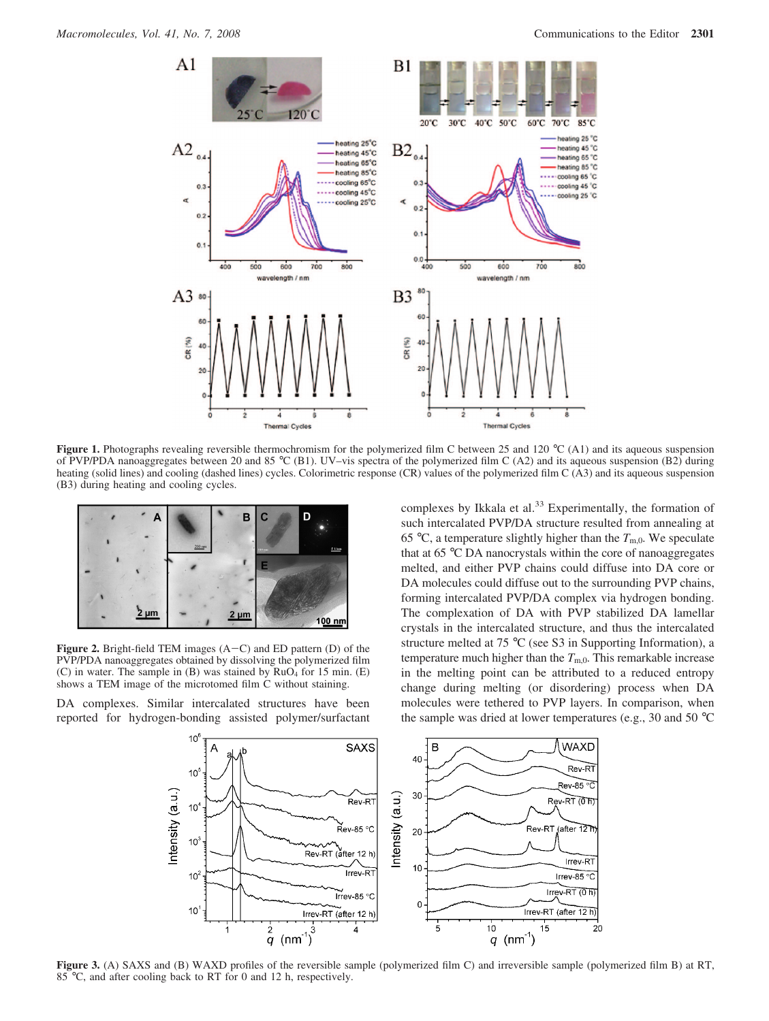

**Figure 1.** Photographs revealing reversible thermochromism for the polymerized film C between 25 and 120 °C (A1) and its aqueous suspension of PVP/PDA nanoaggregates between 20 and 85 °C (B1). UV–vis spectra of the polymerized film C (A2) and its aqueous suspension (B2) during heating (solid lines) and cooling (dashed lines) cycles. Colorimetric response (CR) values of the polymerized film C (A3) and its aqueous suspension (B3) during heating and cooling cycles.



**Figure 2.** Bright-field TEM images (A-C) and ED pattern (D) of the PVP/PDA nanoaggregates obtained by dissolving the polymerized film (C) in water. The sample in  $(B)$  was stained by  $RuO<sub>4</sub>$  for 15 min.  $(E)$ shows a TEM image of the microtomed film C without staining.

DA complexes. Similar intercalated structures have been reported for hydrogen-bonding assisted polymer/surfactant complexes by Ikkala et al.<sup>33</sup> Experimentally, the formation of such intercalated PVP/DA structure resulted from annealing at 65 °C, a temperature slightly higher than the  $T_{\text{m},0}$ . We speculate that at 65 °C DA nanocrystals within the core of nanoaggregates melted, and either PVP chains could diffuse into DA core or DA molecules could diffuse out to the surrounding PVP chains, forming intercalated PVP/DA complex via hydrogen bonding. The complexation of DA with PVP stabilized DA lamellar crystals in the intercalated structure, and thus the intercalated structure melted at 75 °C (see S3 in Supporting Information), a temperature much higher than the  $T_{\text{m},0}$ . This remarkable increase in the melting point can be attributed to a reduced entropy change during melting (or disordering) process when DA molecules were tethered to PVP layers. In comparison, when the sample was dried at lower temperatures (e.g., 30 and 50 °C



**Figure 3.** (A) SAXS and (B) WAXD profiles of the reversible sample (polymerized film C) and irreversible sample (polymerized film B) at RT, 85 °C, and after cooling back to RT for 0 and 12 h, respectively.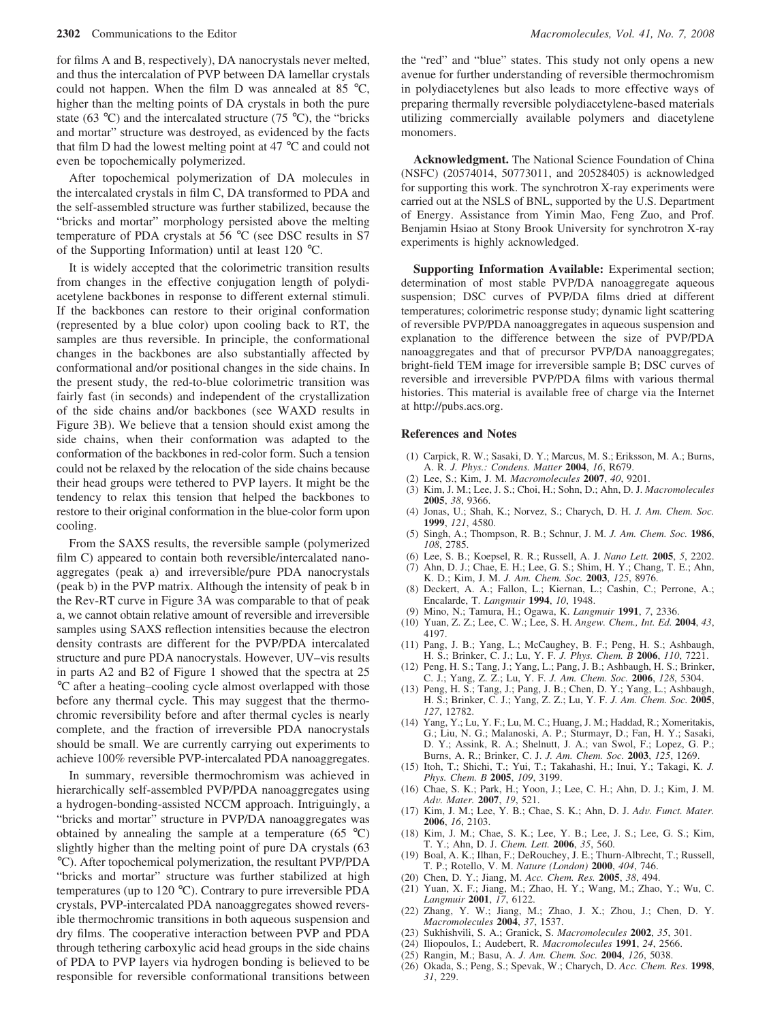for films A and B, respectively), DA nanocrystals never melted, and thus the intercalation of PVP between DA lamellar crystals could not happen. When the film D was annealed at 85 °C, higher than the melting points of DA crystals in both the pure state (63 °C) and the intercalated structure (75 °C), the "bricks and mortar" structure was destroyed, as evidenced by the facts that film D had the lowest melting point at 47 °C and could not even be topochemically polymerized.

After topochemical polymerization of DA molecules in the intercalated crystals in film C, DA transformed to PDA and the self-assembled structure was further stabilized, because the "bricks and mortar" morphology persisted above the melting temperature of PDA crystals at 56 °C (see DSC results in S7 of the Supporting Information) until at least 120 °C.

It is widely accepted that the colorimetric transition results from changes in the effective conjugation length of polydiacetylene backbones in response to different external stimuli. If the backbones can restore to their original conformation (represented by a blue color) upon cooling back to RT, the samples are thus reversible. In principle, the conformational changes in the backbones are also substantially affected by conformational and/or positional changes in the side chains. In the present study, the red-to-blue colorimetric transition was fairly fast (in seconds) and independent of the crystallization of the side chains and/or backbones (see WAXD results in Figure 3B). We believe that a tension should exist among the side chains, when their conformation was adapted to the conformation of the backbones in red-color form. Such a tension could not be relaxed by the relocation of the side chains because their head groups were tethered to PVP layers. It might be the tendency to relax this tension that helped the backbones to restore to their original conformation in the blue-color form upon cooling.

From the SAXS results, the reversible sample (polymerized film C) appeared to contain both reversible/intercalated nanoaggregates (peak a) and irreversible/pure PDA nanocrystals (peak b) in the PVP matrix. Although the intensity of peak b in the Rev-RT curve in Figure 3A was comparable to that of peak a, we cannot obtain relative amount of reversible and irreversible samples using SAXS reflection intensities because the electron density contrasts are different for the PVP/PDA intercalated structure and pure PDA nanocrystals. However, UV–vis results in parts A2 and B2 of Figure 1 showed that the spectra at 25 °C after a heating–cooling cycle almost overlapped with those before any thermal cycle. This may suggest that the thermochromic reversibility before and after thermal cycles is nearly complete, and the fraction of irreversible PDA nanocrystals should be small. We are currently carrying out experiments to achieve 100% reversible PVP-intercalated PDA nanoaggregates.

In summary, reversible thermochromism was achieved in hierarchically self-assembled PVP/PDA nanoaggregates using a hydrogen-bonding-assisted NCCM approach. Intriguingly, a "bricks and mortar" structure in PVP/DA nanoaggregates was obtained by annealing the sample at a temperature  $(65 \text{ °C})$ slightly higher than the melting point of pure DA crystals (63 °C). After topochemical polymerization, the resultant PVP/PDA "bricks and mortar" structure was further stabilized at high temperatures (up to 120 °C). Contrary to pure irreversible PDA crystals, PVP-intercalated PDA nanoaggregates showed reversible thermochromic transitions in both aqueous suspension and dry films. The cooperative interaction between PVP and PDA through tethering carboxylic acid head groups in the side chains of PDA to PVP layers via hydrogen bonding is believed to be responsible for reversible conformational transitions between the "red" and "blue" states. This study not only opens a new avenue for further understanding of reversible thermochromism in polydiacetylenes but also leads to more effective ways of preparing thermally reversible polydiacetylene-based materials utilizing commercially available polymers and diacetylene monomers.

**Acknowledgment.** The National Science Foundation of China (NSFC) (20574014, 50773011, and 20528405) is acknowledged for supporting this work. The synchrotron X-ray experiments were carried out at the NSLS of BNL, supported by the U.S. Department of Energy. Assistance from Yimin Mao, Feng Zuo, and Prof. Benjamin Hsiao at Stony Brook University for synchrotron X-ray experiments is highly acknowledged.

**Supporting Information Available:** Experimental section; determination of most stable PVP/DA nanoaggregate aqueous suspension; DSC curves of PVP/DA films dried at different temperatures; colorimetric response study; dynamic light scattering of reversible PVP/PDA nanoaggregates in aqueous suspension and explanation to the difference between the size of PVP/PDA nanoaggregates and that of precursor PVP/DA nanoaggregates; bright-field TEM image for irreversible sample B; DSC curves of reversible and irreversible PVP/PDA films with various thermal histories. This material is available free of charge via the Internet at http://pubs.acs.org.

## **References and Notes**

- (1) Carpick, R. W.; Sasaki, D. Y.; Marcus, M. S.; Eriksson, M. A.; Burns, A. R. *J. Phys.: Condens. Matter* **2004**, *16*, R679.
- (2) Lee, S.; Kim, J. M. *Macromolecules* **2007**, *40*, 9201.
- (3) Kim, J. M.; Lee, J. S.; Choi, H.; Sohn, D.; Ahn, D. J. *Macromolecules* **2005**, *38*, 9366.
- (4) Jonas, U.; Shah, K.; Norvez, S.; Charych, D. H. *J. Am. Chem. Soc.* **1999**, *121*, 4580.
- (5) Singh, A.; Thompson, R. B.; Schnur, J. M. *J. Am. Chem. Soc.* **1986**, *108*, 2785.
- (6) Lee, S. B.; Koepsel, R. R.; Russell, A. J. *Nano Lett.* **2005**, *5*, 2202.
- (7) Ahn, D. J.; Chae, E. H.; Lee, G. S.; Shim, H. Y.; Chang, T. E.; Ahn, K. D.; Kim, J. M. *J. Am. Chem. Soc.* **2003**, *125*, 8976.
- (8) Deckert, A. A.; Fallon, L.; Kiernan, L.; Cashin, C.; Perrone, A.; Encalarde, T. *Langmuir* **1994**, *10*, 1948.
- (9) Mino, N.; Tamura, H.; Ogawa, K. *Langmuir* **1991**, *7*, 2336.
- (10) Yuan, Z. Z.; Lee, C. W.; Lee, S. H. *Angew. Chem., Int. Ed.* **2004**, *43*, 4197.
- (11) Pang, J. B.; Yang, L.; McCaughey, B. F.; Peng, H. S.; Ashbaugh, H. S.; Brinker, C. J.; Lu, Y. F. *J. Phys. Chem. B* **2006**, *110*, 7221.
- (12) Peng, H. S.; Tang, J.; Yang, L.; Pang, J. B.; Ashbaugh, H. S.; Brinker, C. J.; Yang, Z. Z.; Lu, Y. F. *J. Am. Chem. Soc.* **2006**, *128*, 5304.
- (13) Peng, H. S.; Tang, J.; Pang, J. B.; Chen, D. Y.; Yang, L.; Ashbaugh, H. S.; Brinker, C. J.; Yang, Z. Z.; Lu, Y. F. *J. Am. Chem. Soc.* **2005**, *127*, 12782.
- (14) Yang, Y.; Lu, Y. F.; Lu, M. C.; Huang, J. M.; Haddad, R.; Xomeritakis, G.; Liu, N. G.; Malanoski, A. P.; Sturmayr, D.; Fan, H. Y.; Sasaki, D. Y.; Assink, R. A.; Shelnutt, J. A.; van Swol, F.; Lopez, G. P.; Burns, A. R.; Brinker, C. J. *J. Am. Chem. Soc.* **2003**, *125*, 1269.
- (15) Itoh, T.; Shichi, T.; Yui, T.; Takahashi, H.; Inui, Y.; Takagi, K. *J. Phys. Chem. B* **2005**, *109*, 3199.
- (16) Chae, S. K.; Park, H.; Yoon, J.; Lee, C. H.; Ahn, D. J.; Kim, J. M. *Ad*V*. Mater.* **<sup>2007</sup>**, *<sup>19</sup>*, 521.
- (17) Kim, J. M.; Lee, Y. B.; Chae, S. K.; Ahn, D. J. *Ad*V*. Funct. Mater.* **2006**, *16*, 2103.
- (18) Kim, J. M.; Chae, S. K.; Lee, Y. B.; Lee, J. S.; Lee, G. S.; Kim, T. Y.; Ahn, D. J. *Chem. Lett.* **2006**, *35*, 560.
- (19) Boal, A. K.; Ilhan, F.; DeRouchey, J. E.; Thurn-Albrecht, T.; Russell, T. P.; Rotello, V. M. *Nature (London)* **2000**, *404*, 746.
- (20) Chen, D. Y.; Jiang, M. *Acc. Chem. Res.* **2005**, *38*, 494.
- (21) Yuan, X. F.; Jiang, M.; Zhao, H. Y.; Wang, M.; Zhao, Y.; Wu, C. *Langmuir* **2001**, *17*, 6122.
- (22) Zhang, Y. W.; Jiang, M.; Zhao, J. X.; Zhou, J.; Chen, D. Y. *Macromolecules* **2004**, *37*, 1537.
- (23) Sukhishvili, S. A.; Granick, S. *Macromolecules* **2002**, *35*, 301.
- (24) Iliopoulos, I.; Audebert, R. *Macromolecules* **1991**, *24*, 2566.
- (25) Rangin, M.; Basu, A. *J. Am. Chem. Soc.* **2004**, *126*, 5038.
- (26) Okada, S.; Peng, S.; Spevak, W.; Charych, D. *Acc. Chem. Res.* **1998**, *31*, 229.